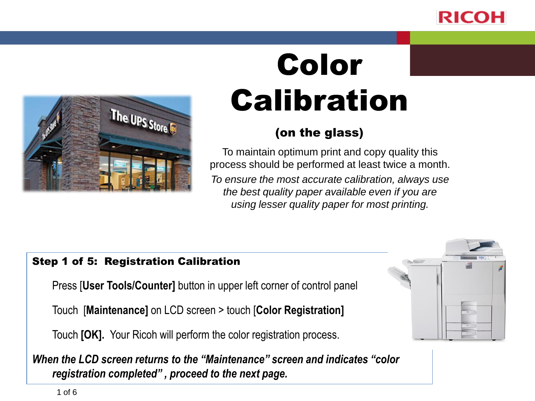



### (on the glass)

To maintain optimum print and copy quality this process should be performed at least twice a month. *To ensure the most accurate calibration, always use the best quality paper available even if you are using lesser quality paper for most printing.*

#### Step 1 of 5: Registration Calibration

Press [**User Tools/Counter]** button in upper left corner of control panel

Touch [**Maintenance]** on LCD screen > touch [**Color Registration]**

Touch **[OK].** Your Ricoh will perform the color registration process.

*When the LCD screen returns to the "Maintenance" screen and indicates "color registration completed" , proceed to the next page.* 

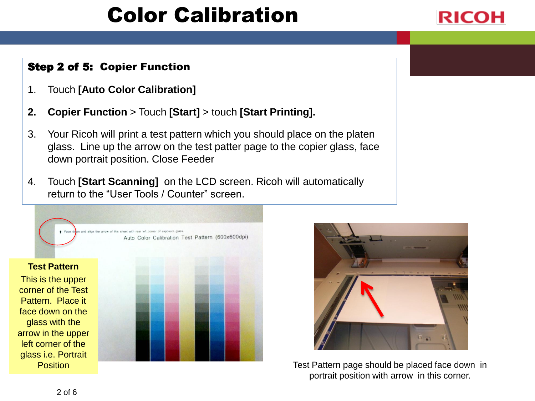#### Step 2 of 5: Copier Function

- 1. Touch **[Auto Color Calibration]**
- **2. Copier Function** > Touch **[Start]** > touch **[Start Printing].**
- 3. Your Ricoh will print a test pattern which you should place on the platen glass. Line up the arrow on the test patter page to the copier glass, face down portrait position. Close Feeder
- 4. Touch **[Start Scanning]** on the LCD screen. Ricoh will automatically return to the "User Tools / Counter" screen.





RICOH

Test Pattern page should be placed face down in portrait position with arrow in this corner.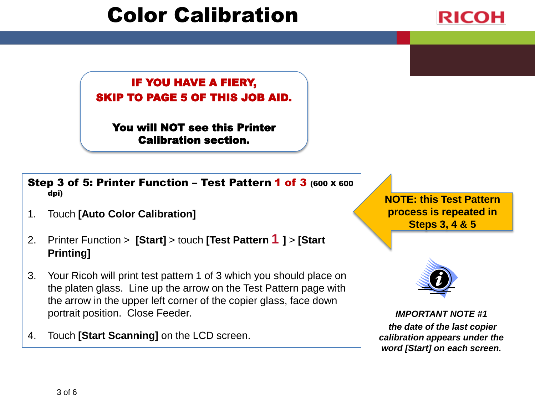RICOH

#### IF YOU HAVE A FIERY, SKIP TO PAGE 5 OF THIS JOB AID.

 $\overline{\phantom{0}}$ 

You will NOT see this Printer Calibration section.

j

Step 3 of 5: Printer Function - Test Pattern 1 of 3 (600 x 600) dpi)

- 1. Touch **[Auto Color Calibration]**
- 2. Printer Function > **[Start]** > touch **[Test Pattern 1 ]** > **[Start Printing]**
- 3. Your Ricoh will print test pattern 1 of 3 which you should place on the platen glass. Line up the arrow on the Test Pattern page with the arrow in the upper left corner of the copier glass, face down portrait position. Close Feeder.
- 4. Touch **[Start Scanning]** on the LCD screen.

**NOTE: this Test Pattern process is repeated in Steps 3, 4 & 5** 



*IMPORTANT NOTE #1 the date of the last copier calibration appears under the word [Start] on each screen.*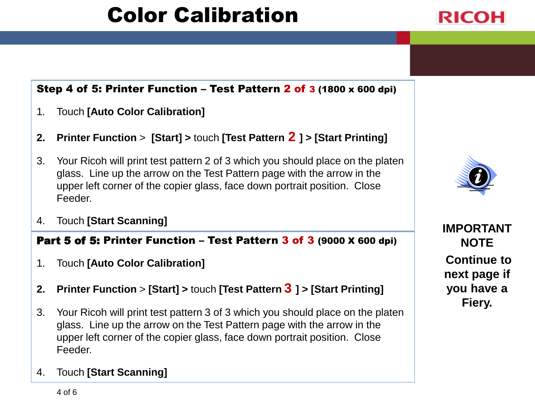#### Step 4 of 5: Printer Function – Test Pattern 2 of 3 (1800 x 600 dpi)

- 1. Touch **[Auto Color Calibration]**
- **2. Printer Function** > **[Start] >** touch **[Test Pattern 2 ] > [Start Printing]**
- 3. Your Ricoh will print test pattern 2 of 3 which you should place on the platen glass. Line up the arrow on the Test Pattern page with the arrow in the upper left corner of the copier glass, face down portrait position. Close Feeder.
- 4. Touch **[Start Scanning]**

#### Part 5 of 5: Printer Function – Test Pattern 3 of 3 (9000 X 600 dpi)

- 1. Touch **[Auto Color Calibration]**
- **2. Printer Function** > **[Start] >** touch **[Test Pattern 3 ] > [Start Printing]**
- 3. Your Ricoh will print test pattern 3 of 3 which you should place on the platen glass. Line up the arrow on the Test Pattern page with the arrow in the upper left corner of the copier glass, face down portrait position. Close Feeder.
- 4. Touch **[Start Scanning]**

**IMPORTANT NOTE Continue to next page if you have a Fiery.**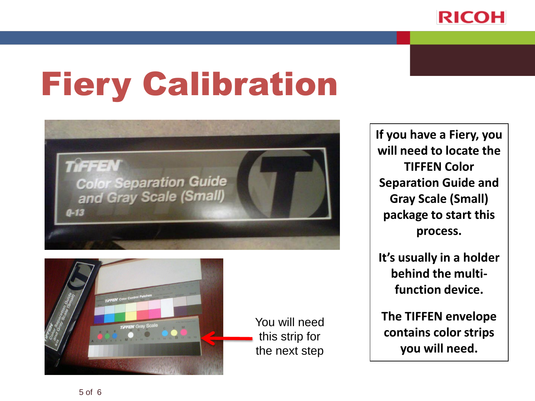

# Fiery Calibration





You will need this strip for the next step **If you have a Fiery, you will need to locate the TIFFEN Color Separation Guide and Gray Scale (Small) package to start this process.** 

**It's usually in a holder behind the multifunction device.** 

**The TIFFEN envelope contains color strips you will need.**